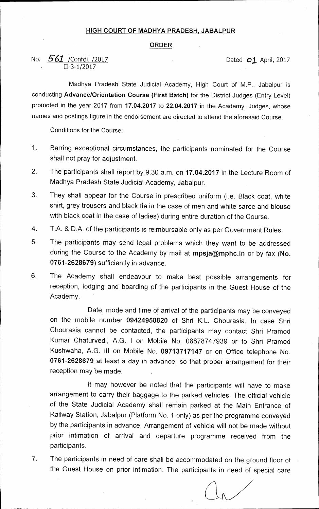## **HIGH COURT OF MADHYA PRADESH, JABALPUR**

## **ORDER**

## No. **561** / Confdl. /2017 **Dated 01** April, 2017 11-3-1/2017

Madhya Pradesh State Judicial Academy, High Court of M.P., Jabalpur is conducting **Advance/Orientation Course (First Batch)** for the District Judges (Entry Level) promoted in the year 2017 from **17.04.2017** to **22.04.2017** in the Academy. Judges, whose names and postings figure in the endorsement are directed to attend the aforesaid Course.

Conditions for the Course:

- 1. Barring exceptional circumstances, the participants nominated for the Course shall not pray for adjustment.
- 2. The participants shall report by 9.30 a.m. on **17.04.2017** in the Lecture Room of Madhya Pradesh State Judicial Academy, Jabalpur.
- 3. They shall appear for the Course in prescribed uniform (i.e. Black coat, white shirt, grey trousers and black tie in the case of men and white saree and blouse with black coat in the case of ladies) during entire duration of the Course.
- 4. T.A. & D.A. of the participants is reimbursable only as per Government Rules.
- 5. The participants may send legal problems which they want to be addressed during the Course to the Academy by mail at **mpsja@mphc.in** or by fax **(No. 0761-2628679)** sufficiently in advance.
- 6 The Academy shall endeavour to make best possible arrangements for reception, lodging and boarding of the participants in the Guest House of the Academy.

Date, mode and time of arrival of the participants may be conveyed on the mobile number **09424958820** of Shri K.L. Chourasia. In case Shri Chourasia cannot be contacted, the participants may contact Shri Pramod Kumar Chaturvedi, A.G. I on Mobile No. 08878747939 or to Shri Pramod Kushwaha, A.G. **III** on Mobile No. **09713717147** or on Office telephone No. **0761-2628679** at least a day in advance, so that proper arrangement for their reception may be made.

It may however be noted that the participants will have to make arrangement to carry their baggage to the parked vehicles. The official vehicle of the State Judicial Academy shall remain parked at the Main Entrance of Railway Station, Jabalpur (Platform No. 1 only) as per the programme conveyed by the participants in advance. Arrangement of vehicle will not be made without •prior intimation of arrival and departure programme received from the participants.

7. The participants in need of care shall be accommodated on the ground floor of the Guest House on prior intimation. The participants in need of special care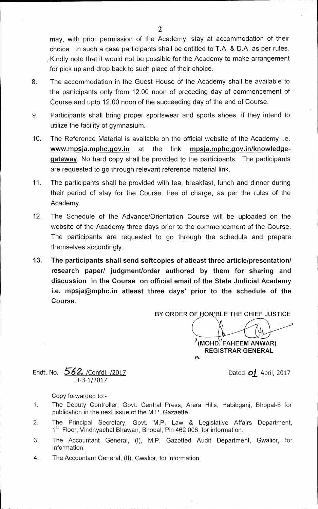may, with prior permission of the Academy, stay at accommodation of their choice. In such a case participants shall be entitled to T.A. & D.A. as per rules. Kindly note that it would not be possible for the Academy to make arrangement for pick up and drop back to such place of their choice.

- 8. The accommodation in the Guest House of the Academy shall be available to the participants only from 12.00 noon of preceding day of commencement of Course and upto 12.00 noon of the succeeding day of the end of Course.
- 9. Participants shall bring proper sportswear and sports shoes, if they intend to utilize the facility of gymnasium.
- 10. The Reference Material is available on the official website of the Academy i.e. **www.mpsja.mphc.qov.in** at the link **mpsja.mphc.qovin/knowledgegateway.** No hard copy shall be provided to the participants. The participants are requested to go through relevant reference material link.
- 11. The participants shall be provided with tea, breakfast, lunch and dinner during their period of stay for the Course, free of charge, as per the rules of the Academy.
- 12. The Schedule of the Advance/Orientation Course will be uploaded on the website of the Academy three days prior to the commencement of the Course. The participants are requested to go through the schedule and prepare themselves accordingly.
- **13. The participants shall send softcopies of atleast three article/presentation/ research paper/ judgment/order authored by them for sharing and discussion in the Course on official email of the State Judicial Academy**  i.e. mpsja@mphc.in atleast three days' prior to the schedule of the **Course.**

BY ORDER OF HON'BLE THE CHIEF JUSTICE

**?(MOND. FAHEEM AN WAR) REGISTRAR GENERAL** 

 $\mathcal{G}_{\perp}$ 

Endt. No. *562.* /Confdl. /2017 Dated *01* April, 2017

Copy forwarded to:-

II-3-1/2017

- 1 The Deputy Controller, Govt. Central Press, Arera Hills, Habibganj, Bhopal-6 for publication in the next issue of the M.P. Gazaette,
- 2. The Principal Secretary, Govt. **M.P.** Law & Legislative Affairs Department, 1<sup>st</sup> Floor, Vindhyachal Bhawan, Bhopal, Pin 462 006, for information.
- 3 The Accountant General, (I), M.P. Gazetted Audit Department, Gwalior, for information.
- 4. The Accountant General, (II), Gwalior, for information.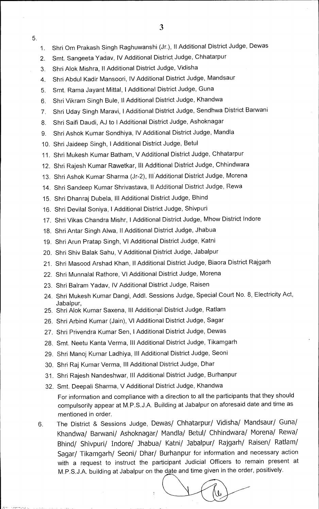5.

- 2. Smt. Sangeeta Yadav, IV Additional District Judge, Chhatarpur
- 3. Shri Alok Mishra, II Additional District Judge, Vidisha
- 4. Shri Abdul Kadir Mansoori, IV Additional District Judge, Mandsaur
- 5. Smt. Rama Jayant Mittal, I Additional District Judge, Guna
- 6. Shri Vikram Singh Bule, II Additional District Judge, Khandwa
- 7. Shri Uday Singh Maravi, I Additional District Judge, Sendhwa District Barwani
- 8. Shri Saifi Daudi, AJ to I Additional District Judge, Ashoknagar
- 9. Shri Ashok Kumar Sondhiya, IV Additional District Judge, Mandla
- 10. Shri Jaideep Singh, I Additional District Judge, Betul
- 11. Shri Mukesh Kumar Batham, V Additional District Judge, Chhatarpur
- 12. Shri Rajesh Kumar Rawetkar, Ill Additional District Judge, Chhindwara
- 13. Shri Ashok Kumar Sharma (Jr-2), III Additional District Judge, Morena
- 14. Shri Sandeep Kumar Shrivastava, II Additional District Judge, Rewa
- 15. Shri Dhanraj Dubela, Ill Additional District Judge, Bhind
- 16. Shri Devilal Soniya, I Additional District Judge, Shivpuri
- 17. Shri Vikas Chandra Mishr, I Additional District Judge, Mhow District Indore
- 18. Shri Antar Singh Aiwa, II Additional District Judge, Jhabua
- 19. Shri Arun Pratap Singh, VI Additional District Judge, Katni
- 20. Shri Shiv Balak Sahu, V Additional District Judge, Jabalpur
- 21. Shri Masood Arshad Khan, II Additional District Judge, Biaora District Rajgarh
- 22. Shri Munnalal Rathore, VI Additional District Judge, Morena
- 23. Shri Balram Yadav, IV Additional District Judge, Raisen
- 24. Shri Mukesh Kumar Dangi, Addl. Sessions Judge, Special Court No. 8, Electricity Act, Jabalpur,
- 25. Shri Alok Kumar Saxena, III Additional District Judge, Ratlam
- 26. Shri Arbind Kumar (Jain), VI Additional District Judge, Sagar
- 27. Shri Privendra Kumar Sen, I Additional District Judge, Dewas
- 28. Smt. Neetu Kanta Verma, III Additional District Judge, Tikamgarh
- 29. Shri Manoj Kumar Ladhiya, Ill Additional District Judge, Seoni
- 30. Shri Raj Kumar Verma, III Additional District Judge, Dhar
- 31. Shri Rajesh Nandeshwar, Ill Additional District Judge, Burhanpur
- 32. Smt. Deepali Sharma, V Additional District Judge, Khandwa For information and compliance with a direction to all the participants that they should compulsorily appear at M.P.S.J.A. Building at Jabalpur on aforesaid date and time as mentioned in order.
- 6. The District & Sessions Judge, Dewas/ Chhatarpur/ Vidisha/ Mandsaur/ Guna/ Khandwa/ Barwani/ Ashoknagar/ Mandla/ Betul/ Chhindwara/ Morena/ Rewa/ Bhind/ Shivpuri/ Indore/ Jhabua/ Katni/ Jabalpur/ Rajgarh/ Raisen/ Ratlam/ Sagar/ Tikamgarh/ Seoni/ Dhar/ Burhanpur for information and necessary action with a request to instruct the participant Judicial Officers to remain present at

M.P.S.J.A. building at Jabalpur on the date and time given in the order, positively.<br> **expansion on the date and time given in the order, positively.**